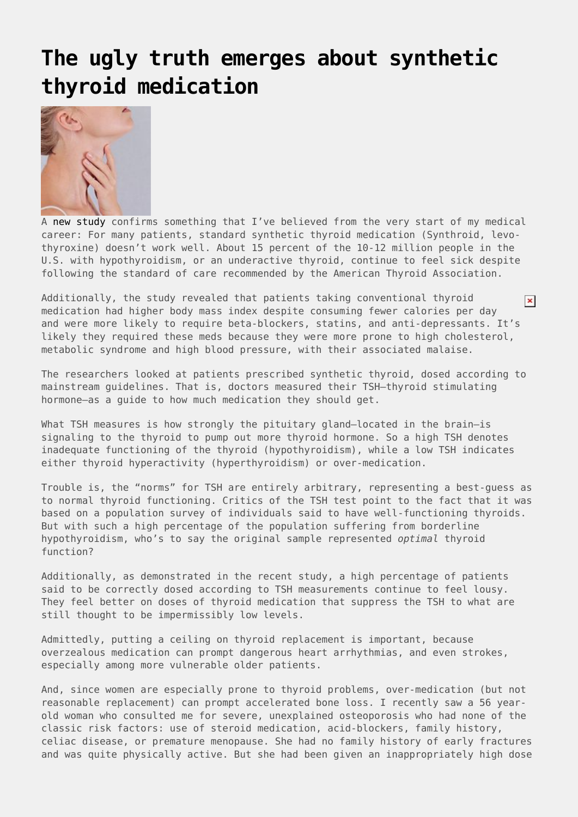## **[The ugly truth emerges about synthetic](https://drhoffman.com/article/the-ugly-truth-emerges-about-synthetic-thyroid-medication/) [thyroid medication](https://drhoffman.com/article/the-ugly-truth-emerges-about-synthetic-thyroid-medication/)**



A [new study](http://press.endocrine.org/doi/10.1210/jc.2016-2660) confirms something that I've believed from the very start of my medical career: For many patients, standard synthetic thyroid medication (Synthroid, levothyroxine) doesn't work well. About 15 percent of the 10-12 million people in the U.S. with hypothyroidism, or an underactive thyroid, continue to feel sick despite following the standard of care recommended by the American Thyroid Association.

Additionally, the study revealed that patients taking conventional thyroid  $\pmb{\times}$ medication had higher body mass index despite consuming fewer calories per day and were more likely to require beta-blockers, statins, and anti-depressants. It's likely they required these meds because they were more prone to high cholesterol, metabolic syndrome and high blood pressure, with their associated malaise.

The researchers looked at patients prescribed synthetic thyroid, dosed according to mainstream guidelines. That is, doctors measured their TSH—thyroid stimulating hormone—as a guide to how much medication they should get.

What TSH measures is how strongly the pituitary gland—located in the brain—is signaling to the thyroid to pump out more thyroid hormone. So a high TSH denotes inadequate functioning of the thyroid (hypothyroidism), while a low TSH indicates either thyroid hyperactivity (hyperthyroidism) or over-medication.

Trouble is, the "norms" for TSH are entirely arbitrary, representing a best-guess as to normal thyroid functioning. Critics of the TSH test point to the fact that it was based on a population survey of individuals said to have well-functioning thyroids. But with such a high percentage of the population suffering from borderline hypothyroidism, who's to say the original sample represented *optimal* thyroid function?

Additionally, as demonstrated in the recent study, a high percentage of patients said to be correctly dosed according to TSH measurements continue to feel lousy. They feel better on doses of thyroid medication that suppress the TSH to what are still thought to be impermissibly low levels.

Admittedly, putting a ceiling on thyroid replacement is important, because overzealous medication can prompt dangerous heart arrhythmias, and even strokes, especially among more vulnerable older patients.

And, since women are especially prone to thyroid problems, over-medication (but not reasonable replacement) can prompt accelerated bone loss. I recently saw a 56 yearold woman who consulted me for severe, unexplained osteoporosis who had none of the classic risk factors: use of steroid medication, acid-blockers, family history, celiac disease, or premature menopause. She had no family history of early fractures and was quite physically active. But she had been given an inappropriately high dose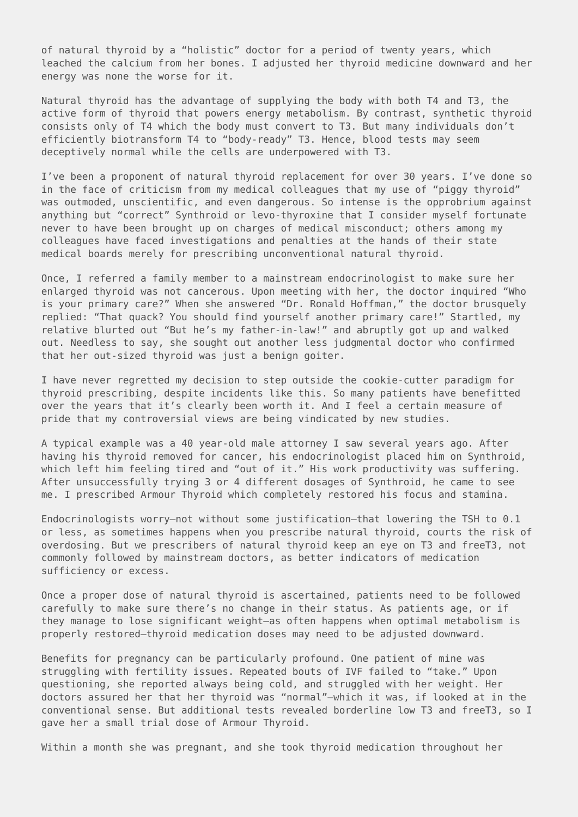of natural thyroid by a "holistic" doctor for a period of twenty years, which leached the calcium from her bones. I adjusted her thyroid medicine downward and her energy was none the worse for it.

Natural thyroid has the advantage of supplying the body with both T4 and T3, the active form of thyroid that powers energy metabolism. By contrast, synthetic thyroid consists only of T4 which the body must convert to T3. But many individuals don't efficiently biotransform T4 to "body-ready" T3. Hence, blood tests may seem deceptively normal while the cells are underpowered with T3.

I've been a proponent of natural thyroid replacement for over 30 years. I've done so in the face of criticism from my medical colleagues that my use of "piggy thyroid" was outmoded, unscientific, and even dangerous. So intense is the opprobrium against anything but "correct" Synthroid or levo-thyroxine that I consider myself fortunate never to have been brought up on charges of medical misconduct; others among my colleagues have faced investigations and penalties at the hands of their state medical boards merely for prescribing unconventional natural thyroid.

Once, I referred a family member to a mainstream endocrinologist to make sure her enlarged thyroid was not cancerous. Upon meeting with her, the doctor inquired "Who is your primary care?" When she answered "Dr. Ronald Hoffman," the doctor brusquely replied: "That quack? You should find yourself another primary care!" Startled, my relative blurted out "But he's my father-in-law!" and abruptly got up and walked out. Needless to say, she sought out another less judgmental doctor who confirmed that her out-sized thyroid was just a benign goiter.

I have never regretted my decision to step outside the cookie-cutter paradigm for thyroid prescribing, despite incidents like this. So many patients have benefitted over the years that it's clearly been worth it. And I feel a certain measure of pride that my controversial views are being vindicated by new studies.

A typical example was a 40 year-old male attorney I saw several years ago. After having his thyroid removed for cancer, his endocrinologist placed him on Synthroid, which left him feeling tired and "out of it." His work productivity was suffering. After unsuccessfully trying 3 or 4 different dosages of Synthroid, he came to see me. I prescribed Armour Thyroid which completely restored his focus and stamina.

Endocrinologists worry—not without some justification—that lowering the TSH to 0.1 or less, as sometimes happens when you prescribe natural thyroid, courts the risk of overdosing. But we prescribers of natural thyroid keep an eye on T3 and freeT3, not commonly followed by mainstream doctors, as better indicators of medication sufficiency or excess.

Once a proper dose of natural thyroid is ascertained, patients need to be followed carefully to make sure there's no change in their status. As patients age, or if they manage to lose significant weight—as often happens when optimal metabolism is properly restored—thyroid medication doses may need to be adjusted downward.

Benefits for pregnancy can be particularly profound. One patient of mine was struggling with fertility issues. Repeated bouts of IVF failed to "take." Upon questioning, she reported always being cold, and struggled with her weight. Her doctors assured her that her thyroid was "normal"—which it was, if looked at in the conventional sense. But additional tests revealed borderline low T3 and freeT3, so I gave her a small trial dose of Armour Thyroid.

Within a month she was pregnant, and she took thyroid medication throughout her